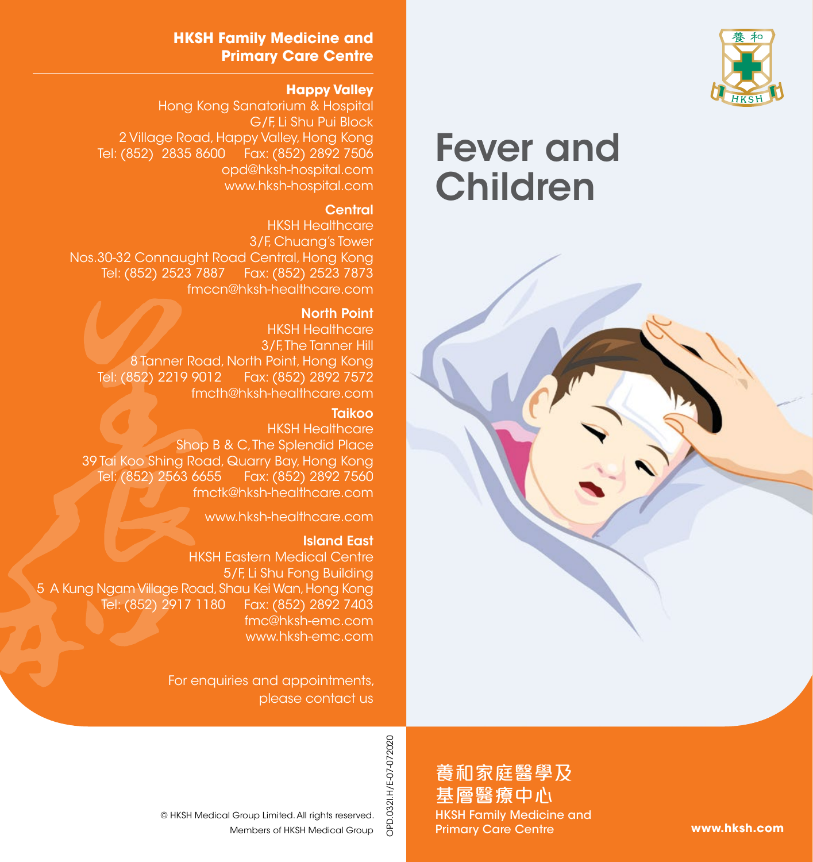

# Fever and Children



OPD.032I.H/E-07-072020 OPD.032I.H/E-07-072020

養和家庭醫學及 基層醫療中心 HKSH Family Medicine and Primary Care Centre

**www.hksh.com**

### **HKSH Family Medicine and Primary Care Centre**

### **Happy Valley**

Hong Kong Sanatorium & Hospital G/F, Li Shu Pui Block 2 Village Road, Happy Valley, Hong Kong Tel: (852) 2835 8600 Fax: (852) 2892 7506 opd@hksh-hospital.com www.hksh-hospital.com

### **Central**

HKSH Healthcare 3/F, Chuang's Tower Nos.30-32 Connaught Road Central, Hong Kong Tel: (852) 2523 7887 Fax: (852) 2523 7873 fmccn@hksh-healthcare.com

#### North Point

HKSH Healthcare 3/F. The Tanner Hill 8 Tanner Road, North Point, Hong Kong Tel: (852) 2219 9012 Fax: (852) 2892 7572 fmcth@hksh-healthcare.com

#### **Taikoo**

HKSH Healthcare Shop B & C. The Splendid Place 39 Tai Koo Shing Road, Quarry Bay, Hong Kong Tel: (852) 2563 6655 Fax: (852) 2892 7560 fmctk@hksh-healthcare.com

www.hksh-healthcare.com

#### Island East

HKSH Eastern Medical Centre 5/F, Li Shu Fong Building 5 A Kung Ngam Village Road, Shau Kei Wan, Hong Kong Tel: (852) 2917 1180 Fax: (852) 2892 7403 fmc@hksh-emc.com www.hksh-emc.com

> For enquiries and appointments, please contact us

Members of HKSH Medical Group © HKSH Medical Group Limited. All rights reserved.